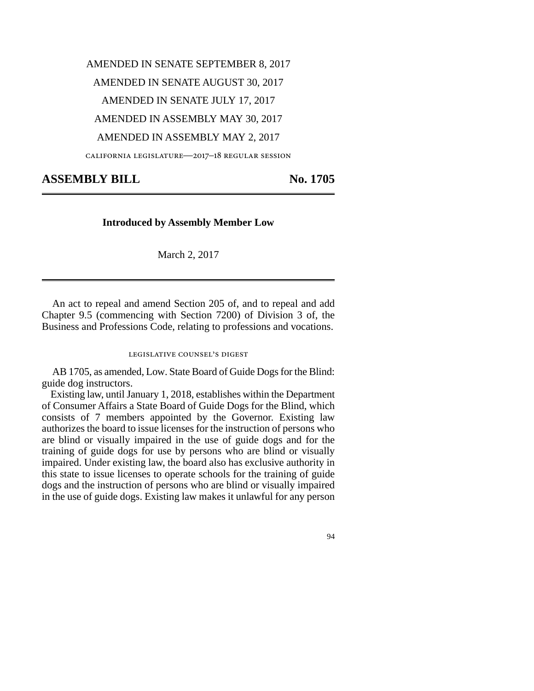# AMENDED IN SENATE SEPTEMBER 8, 2017 AMENDED IN SENATE AUGUST 30, 2017 AMENDED IN SENATE JULY 17, 2017 AMENDED IN ASSEMBLY MAY 30, 2017 AMENDED IN ASSEMBLY MAY 2, 2017 california legislature—2017–18 regular session

## **ASSEMBLY BILL No. 1705**

### **Introduced by Assembly Member Low**

March 2, 2017

An act to repeal and amend Section 205 of, and to repeal and add Chapter 9.5 (commencing with Section 7200) of Division 3 of, the Business and Professions Code, relating to professions and vocations.

#### legislative counsel's digest

AB 1705, as amended, Low. State Board of Guide Dogs for the Blind: guide dog instructors.

Existing law, until January 1, 2018, establishes within the Department of Consumer Affairs a State Board of Guide Dogs for the Blind, which consists of 7 members appointed by the Governor. Existing law authorizes the board to issue licenses for the instruction of persons who are blind or visually impaired in the use of guide dogs and for the training of guide dogs for use by persons who are blind or visually impaired. Under existing law, the board also has exclusive authority in this state to issue licenses to operate schools for the training of guide dogs and the instruction of persons who are blind or visually impaired in the use of guide dogs. Existing law makes it unlawful for any person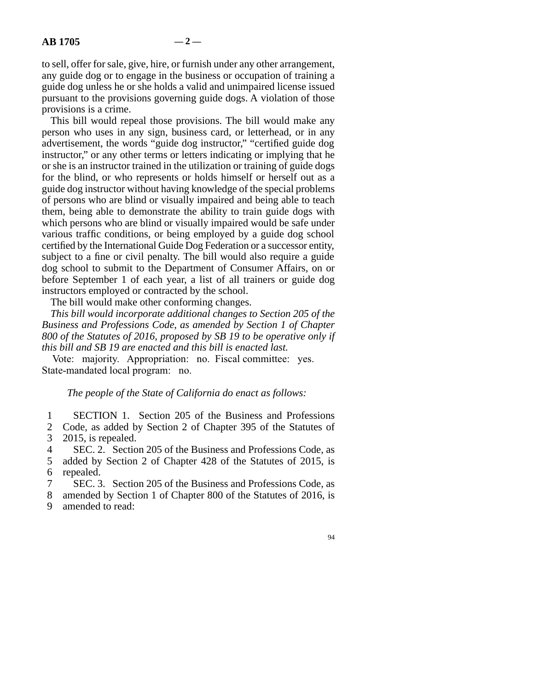to sell, offer for sale, give, hire, or furnish under any other arrangement, any guide dog or to engage in the business or occupation of training a guide dog unless he or she holds a valid and unimpaired license issued pursuant to the provisions governing guide dogs. A violation of those provisions is a crime.

This bill would repeal those provisions. The bill would make any person who uses in any sign, business card, or letterhead, or in any advertisement, the words "guide dog instructor," "certified guide dog instructor," or any other terms or letters indicating or implying that he or she is an instructor trained in the utilization or training of guide dogs for the blind, or who represents or holds himself or herself out as a guide dog instructor without having knowledge of the special problems of persons who are blind or visually impaired and being able to teach them, being able to demonstrate the ability to train guide dogs with which persons who are blind or visually impaired would be safe under various traffic conditions, or being employed by a guide dog school certified by the International Guide Dog Federation or a successor entity, subject to a fine or civil penalty. The bill would also require a guide dog school to submit to the Department of Consumer Affairs, on or before September 1 of each year, a list of all trainers or guide dog instructors employed or contracted by the school.

The bill would make other conforming changes.

*This bill would incorporate additional changes to Section 205 of the Business and Professions Code, as amended by Section 1 of Chapter 800 of the Statutes of 2016, proposed by SB 19 to be operative only if this bill and SB 19 are enacted and this bill is enacted last.*

Vote: majority. Appropriation: no. Fiscal committee: yes. State-mandated local program: no.

### *The people of the State of California do enact as follows:*

1 SECTION 1. Section 205 of the Business and Professions

2 Code, as added by Section 2 of Chapter 395 of the Statutes of 3 2015, is repealed.

4 SEC. 2. Section 205 of the Business and Professions Code, as 5 added by Section 2 of Chapter 428 of the Statutes of 2015, is 6 repealed.

line 7 SEC. 3. Section 205 of the Business and Professions Code, as

8 amended by Section 1 of Chapter 800 of the Statutes of 2016, is

9 amended to read: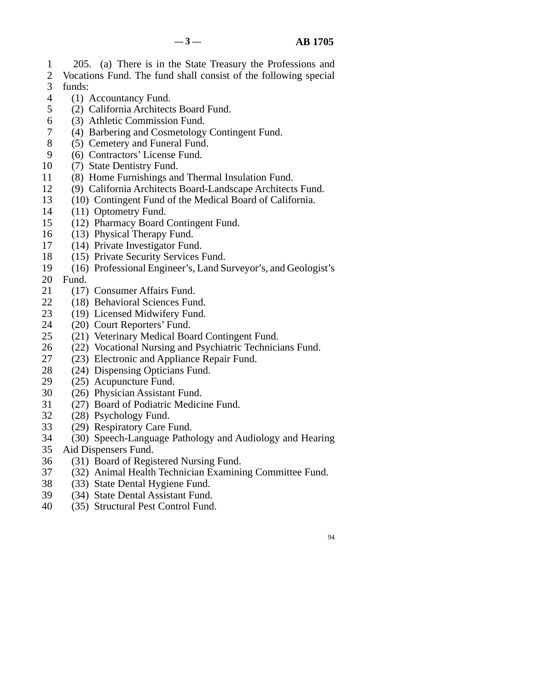- line 1 205. (a) There is in the State Treasury the Professions and
- 2 Vocations Fund. The fund shall consist of the following special
- 3 funds:
- 4 (1) Accountancy Fund.
- 5 (2) California Architects Board Fund.
- 6 (3) Athletic Commission Fund.
- 7 (4) Barbering and Cosmetology Contingent Fund.
- 8 (5) Cemetery and Funeral Fund.
- 9 (6) Contractors' License Fund.
- 10 (7) State Dentistry Fund.
- 11 (8) Home Furnishings and Thermal Insulation Fund.
- 12 (9) California Architects Board-Landscape Architects Fund.
- 13 (10) Contingent Fund of the Medical Board of California.
- 14 (11) Optometry Fund.
- 15 (12) Pharmacy Board Contingent Fund.
- 16 (13) Physical Therapy Fund.
- 17 (14) Private Investigator Fund.
- 18 (15) Private Security Services Fund.
- 19 (16) Professional Engineer's, Land Surveyor's, and Geologist's
- $20$  Fund.
- 21 (17) Consumer Affairs Fund.
- 22 (18) Behavioral Sciences Fund.<br>23 (19) Licensed Midwiferv Fund.
- (19) Licensed Midwifery Fund.
- 24 (20) Court Reporters' Fund.<br>25 (21) Veterinary Medical Boa
- (21) Veterinary Medical Board Contingent Fund.
- 26 (22) Vocational Nursing and Psychiatric Technicians Fund.<br>27 (23) Electronic and Appliance Repair Fund.
- 27 (23) Electronic and Appliance Repair Fund.<br>28 (24) Dispensing Opticians Fund.
- (24) Dispensing Opticians Fund.
- 29 (25) Acupuncture Fund.
- 30 (26) Physician Assistant Fund.
- 31 (27) Board of Podiatric Medicine Fund.
- 32 (28) Psychology Fund.<br>33 (29) Respiratory Care F
- (29) Respiratory Care Fund.
- 34 (30) Speech-Language Pathology and Audiology and Hearing
- 35 Aid Dispensers Fund.
- 36 (31) Board of Registered Nursing Fund.
- 37 (32) Animal Health Technician Examining Committee Fund.
- 38 (33) State Dental Hygiene Fund.
- 39 (34) State Dental Assistant Fund.
- 40 (35) Structural Pest Control Fund.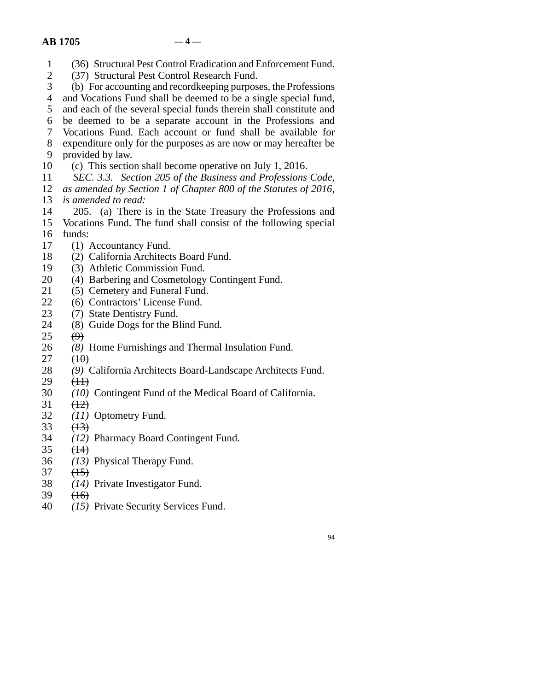# **AB 1705 — 4 —**

| $\mathbf{1}$   | (36) Structural Pest Control Eradication and Enforcement Fund.     |
|----------------|--------------------------------------------------------------------|
| $\overline{2}$ | (37) Structural Pest Control Research Fund.                        |
| 3              | (b) For accounting and record keeping purposes, the Professions    |
| 4              | and Vocations Fund shall be deemed to be a single special fund,    |
| 5              | and each of the several special funds therein shall constitute and |
| 6              | be deemed to be a separate account in the Professions and          |
| 7              | Vocations Fund. Each account or fund shall be available for        |
| 8              | expenditure only for the purposes as are now or may hereafter be   |
| 9              | provided by law.                                                   |
| 10             | (c) This section shall become operative on July 1, 2016.           |
| 11             | SEC. 3.3. Section 205 of the Business and Professions Code,        |
| 12             | as amended by Section 1 of Chapter 800 of the Statutes of 2016,    |
| 13             | <i>is amended to read:</i>                                         |
| 14             | 205. (a) There is in the State Treasury the Professions and        |
| 15             | Vocations Fund. The fund shall consist of the following special    |
| 16             | funds:                                                             |
| 17             | (1) Accountancy Fund.                                              |
| 18             | (2) California Architects Board Fund.                              |
| 19             | (3) Athletic Commission Fund.                                      |
| 20             | (4) Barbering and Cosmetology Contingent Fund.                     |
| 21             | (5) Cemetery and Funeral Fund.                                     |
| 22             | (6) Contractors' License Fund.                                     |
| 23             | (7) State Dentistry Fund.                                          |
| 24             | (8) Guide Dogs for the Blind Fund.                                 |
| 25             | $\Theta$                                                           |
| 26             | (8) Home Furnishings and Thermal Insulation Fund.                  |
| 27             | (10)                                                               |
| 28             | (9) California Architects Board-Landscape Architects Fund.         |
| 29             | (11)                                                               |
| 30             | (10) Contingent Fund of the Medical Board of California.           |
| 31             | (12)                                                               |
| 32             | (11) Optometry Fund.                                               |
| 33             | (13)                                                               |
| 34             | (12) Pharmacy Board Contingent Fund.                               |
| 35             | (14)                                                               |
| 36             | (13) Physical Therapy Fund.                                        |
| 37             | (15)                                                               |
| 38             | (14) Private Investigator Fund.                                    |
| 39             | (16)                                                               |
| 40             | (15) Private Security Services Fund.                               |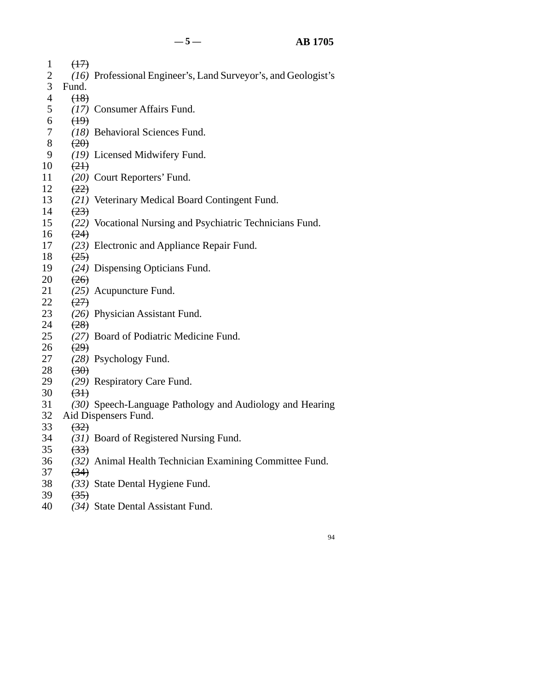| $\mathbf{1}$   | (17)  |                                                                |
|----------------|-------|----------------------------------------------------------------|
| $\mathfrak{2}$ |       | (16) Professional Engineer's, Land Surveyor's, and Geologist's |
| 3              | Fund. |                                                                |
| $\overline{4}$ | (18)  |                                                                |
| 5              |       | (17) Consumer Affairs Fund.                                    |
| 6              | (19)  |                                                                |
| 7              |       | (18) Behavioral Sciences Fund.                                 |
| 8              | (20)  |                                                                |
| 9              |       | (19) Licensed Midwifery Fund.                                  |
| 10             | (21)  |                                                                |
| 11             |       | (20) Court Reporters' Fund.                                    |
| 12             | (22)  |                                                                |
| 13             |       | (21) Veterinary Medical Board Contingent Fund.                 |
| 14             | (23)  |                                                                |
| 15             |       | (22) Vocational Nursing and Psychiatric Technicians Fund.      |
| 16             | (24)  |                                                                |
| 17             |       | (23) Electronic and Appliance Repair Fund.                     |
| 18             | (25)  |                                                                |
| 19             |       | (24) Dispensing Opticians Fund.                                |
| 20             | (26)  |                                                                |
| 21             |       | (25) Acupuncture Fund.                                         |
| 22             | (27)  |                                                                |
| 23             |       | (26) Physician Assistant Fund.                                 |
| 24             | (28)  |                                                                |
| 25             |       | (27) Board of Podiatric Medicine Fund.                         |
| 26             | (29)  |                                                                |
| 27             |       | (28) Psychology Fund.                                          |
| 28             | (30)  |                                                                |
| 29             |       | (29) Respiratory Care Fund.                                    |
| 30             | (31)  |                                                                |
| 31             |       | (30) Speech-Language Pathology and Audiology and Hearing       |
| 32             |       | Aid Dispensers Fund.                                           |
| 33             | (32)  |                                                                |
| 34             |       | (31) Board of Registered Nursing Fund.                         |
| 35             | (33)  |                                                                |
| 36             |       | (32) Animal Health Technician Examining Committee Fund.        |
| 37             | (34)  |                                                                |
| 38<br>39       |       | (33) State Dental Hygiene Fund.                                |
| 40             | (35)  |                                                                |
|                |       | (34) State Dental Assistant Fund.                              |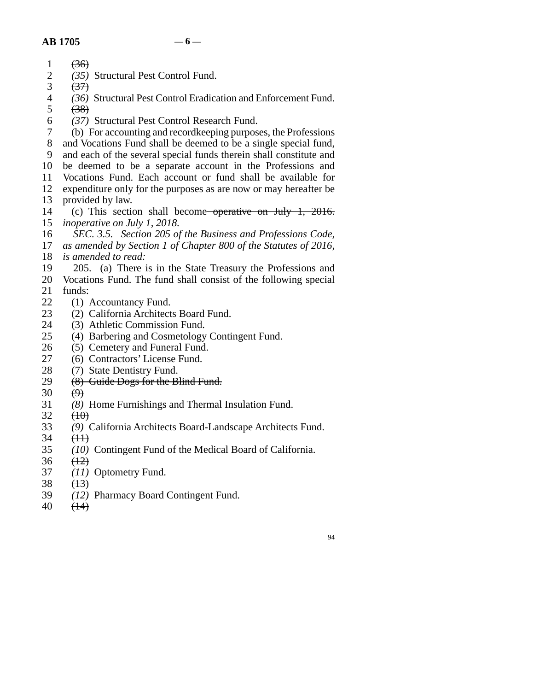- $1 \t\t (36)$
- 2 *(35)* Structural Pest Control Fund.<br>3 <del>(37)</del>
- $\left( 37\right)$
- line 4 *(36)* Structural Pest Control Eradication and Enforcement Fund.
- $5 (38)$
- line 6 *(37)* Structural Pest Control Research Fund.
- line 7 (b) For accounting and recordkeeping purposes, the Professions
- 8 and Vocations Fund shall be deemed to be a single special fund,
- 9 and each of the several special funds therein shall constitute and
- 10 be deemed to be a separate account in the Professions and
- 11 Vocations Fund. Each account or fund shall be available for 12 expenditure only for the purposes as are now or may hereafter be
- 13 provided by law.<br>14 (c) This section
- (c) This section shall become operative on July 1,  $2016$ . 15 *inoperative on July 1, 2018.*
- 16 *SEC. 3.5. Section 205 of the Business and Professions Code,* 17 *as amended by Section 1 of Chapter 800 of the Statutes of 2016,* 18 *is amended to read:*
- 19 205. (a) There is in the State Treasury the Professions and 20 Vocations Fund. The fund shall consist of the following special
- $21$  funds:
- 
- 22 (1) Accountancy Fund.<br>23 (2) California Architect (2) California Architects Board Fund.
- 24 (3) Athletic Commission Fund.<br>25 (4) Barbering and Cosmetology
- (4) Barbering and Cosmetology Contingent Fund.
- 26 (5) Cemetery and Funeral Fund.<br>27 (6) Contractors' License Fund.
- 27 (6) Contractors' License Fund.<br>28 (7) State Dentistry Fund.
- 28 (7) State Dentistry Fund.<br>29 <del>(8) Guide Dogs for the B</del>
- (8) Guide Dogs for the Blind Fund.
- 30  $(\theta)$
- line 31 *(8)* Home Furnishings and Thermal Insulation Fund.
- 
- $\begin{array}{cc} 32 & (\pm 0) \\ 33 & (9) \end{array}$ (9) California Architects Board-Landscape Architects Fund.
- line 34 (11)
- 35 (10) Contingent Fund of the Medical Board of California.
- 36  $(12)$
- 37 *(11)* Optometry Fund.
- 
- $\begin{array}{cc} 38 & (13) \\ 39 & (12) \end{array}$ (12) Pharmacy Board Contingent Fund.
- $40 \t\t (14)$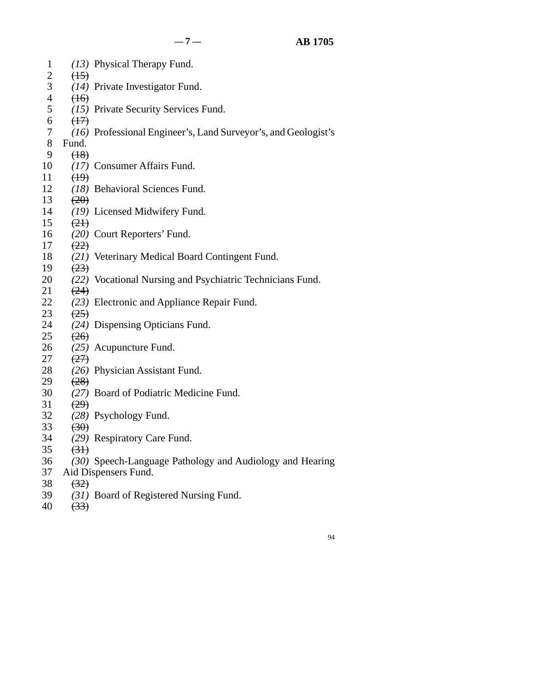| $\mathbf{1}$   |                             | (13) Physical Therapy Fund.                                    |
|----------------|-----------------------------|----------------------------------------------------------------|
| $\overline{c}$ | (15)                        |                                                                |
| 3              |                             | (14) Private Investigator Fund.                                |
| $\overline{4}$ | (16)                        |                                                                |
| 5              |                             | (15) Private Security Services Fund.                           |
| 6              | $\left(\frac{1}{2}\right)$  |                                                                |
| 7              |                             | (16) Professional Engineer's, Land Surveyor's, and Geologist's |
| 8              | Fund.                       |                                                                |
| 9              | (18)                        |                                                                |
| 10             |                             | (17) Consumer Affairs Fund.                                    |
| 11             | <del>(19)</del>             |                                                                |
| 12             |                             | (18) Behavioral Sciences Fund.                                 |
| 13             | (20)                        |                                                                |
| 14             |                             | (19) Licensed Midwifery Fund.                                  |
| 15             | (21)                        |                                                                |
| 16             |                             | (20) Court Reporters' Fund.                                    |
| 17             | (22)                        |                                                                |
| 18             |                             | (21) Veterinary Medical Board Contingent Fund.                 |
| 19             | (23)                        |                                                                |
| 20             |                             | (22) Vocational Nursing and Psychiatric Technicians Fund.      |
| 21             | (24)                        |                                                                |
| 22             |                             | (23) Electronic and Appliance Repair Fund.                     |
| 23             | (25)                        |                                                                |
| 24             |                             | (24) Dispensing Opticians Fund.                                |
| 25             | (26)                        |                                                                |
| 26             |                             | (25) Acupuncture Fund.                                         |
| 27             | (27)                        |                                                                |
| 28             |                             | (26) Physician Assistant Fund.                                 |
| 29             | (28)                        |                                                                |
| 30             |                             | (27) Board of Podiatric Medicine Fund.                         |
| 31             | (29)                        |                                                                |
| 32             |                             | (28) Psychology Fund.                                          |
| 33             | (30)                        |                                                                |
| 34             |                             | (29) Respiratory Care Fund.                                    |
| 35             | $\left(\frac{31}{2}\right)$ |                                                                |
| 36             |                             | (30) Speech-Language Pathology and Audiology and Hearing       |
| 37             |                             | Aid Dispensers Fund.                                           |
| 38             | (32)                        |                                                                |
| 39             |                             | (31) Board of Registered Nursing Fund.                         |
| 40             | (33)                        |                                                                |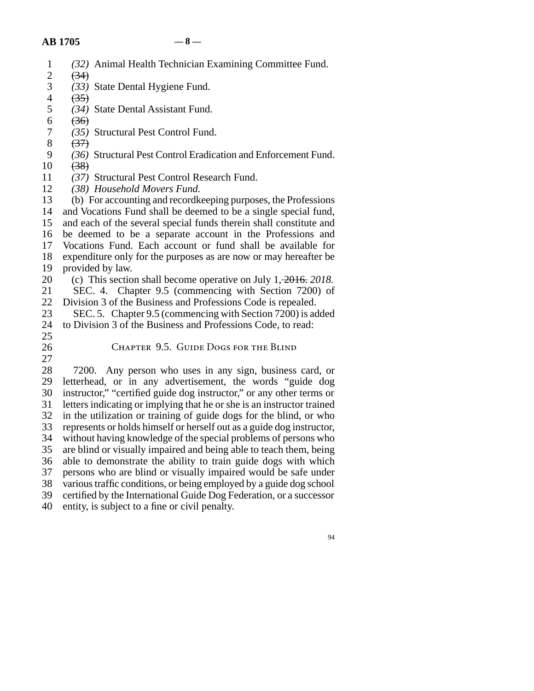|                | $-8-$<br><b>AB</b> 1705                                                                                                                  |
|----------------|------------------------------------------------------------------------------------------------------------------------------------------|
| $\mathbf{1}$   | (32) Animal Health Technician Examining Committee Fund.                                                                                  |
| $\overline{2}$ | (34)                                                                                                                                     |
| 3              | (33) State Dental Hygiene Fund.                                                                                                          |
| 4              | (35)                                                                                                                                     |
| 5              | (34) State Dental Assistant Fund.                                                                                                        |
| 6              | (36)                                                                                                                                     |
| $\tau$         | (35) Structural Pest Control Fund.                                                                                                       |
| 8              | (37)                                                                                                                                     |
| 9<br>10        | (36) Structural Pest Control Eradication and Enforcement Fund.                                                                           |
| 11             | (38)                                                                                                                                     |
| 12             | (37) Structural Pest Control Research Fund.<br>(38) Household Movers Fund.                                                               |
| 13             | (b) For accounting and record keeping purposes, the Professions                                                                          |
| 14             | and Vocations Fund shall be deemed to be a single special fund,                                                                          |
| 15             | and each of the several special funds therein shall constitute and                                                                       |
| 16             | be deemed to be a separate account in the Professions and                                                                                |
| 17             | Vocations Fund. Each account or fund shall be available for                                                                              |
| 18             | expenditure only for the purposes as are now or may hereafter be                                                                         |
| 19             | provided by law.                                                                                                                         |
| 20             | (c) This section shall become operative on July 1, $\frac{2016}{2018}$ .                                                                 |
| 21             | SEC. 4. Chapter 9.5 (commencing with Section 7200) of                                                                                    |
| 22             | Division 3 of the Business and Professions Code is repealed.                                                                             |
| 23             | SEC. 5. Chapter 9.5 (commencing with Section 7200) is added                                                                              |
| 24             | to Division 3 of the Business and Professions Code, to read:                                                                             |
| 25             |                                                                                                                                          |
| 26             | CHAPTER 9.5. GUIDE DOGS FOR THE BLIND                                                                                                    |
| 27             |                                                                                                                                          |
| 28             | 7200. Any person who uses in any sign, business card, or                                                                                 |
| 29             | letterhead, or in any advertisement, the words "guide dog                                                                                |
| 30             | instructor," "certified guide dog instructor," or any other terms or                                                                     |
| 31             | letters indicating or implying that he or she is an instructor trained                                                                   |
| 32             | in the utilization or training of guide dogs for the blind, or who                                                                       |
| 33<br>34       | represents or holds himself or herself out as a guide dog instructor,<br>without having knowledge of the special problems of persons who |
| 35             | are blind or visually impaired and being able to teach them, being                                                                       |
| 36             | able to demonstrate the ability to train guide dogs with which                                                                           |
| 37             | persons who are blind or visually impaired would be safe under                                                                           |
| 38             | various traffic conditions, or being employed by a guide dog school                                                                      |
| 39             | certified by the International Guide Dog Federation, or a successor                                                                      |
|                |                                                                                                                                          |